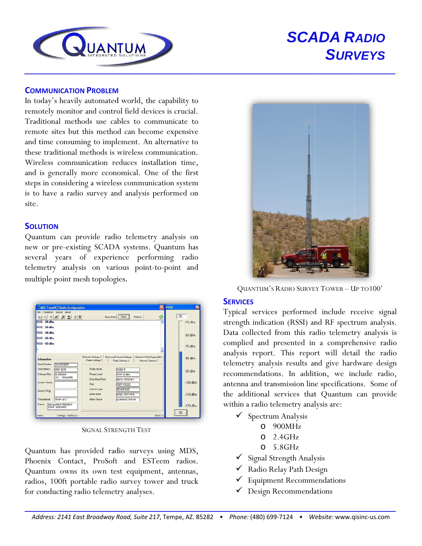

# **SCADA RADIO SURVEYS**

#### **COMMUNICATION PROBLEM**

In today's heavily automated world, the capability to remotely monitor and control field devices is crucial. Traditional methods use cables to communicate to remote sites but this method can become expensive and time consuming to implement. An alternative to these traditional methods is wireless communication. Wireless communication reduces installation time. and is generally more economical. One of the first steps in considering a wireless communication system is to have a radio survey and analysis performed on site.

#### **SOLUTION**

Quantum can provide radio telemetry analysis on new or pre-existing SCADA systems. Quantum has several years of experience performing radio telemetry analysis on various point-to-point and multiple point mesh topologies.

| File CommPort Special About                                                           |                                                                     | <b>Netrech</b>                              |                                                | $-75$           |
|---------------------------------------------------------------------------------------|---------------------------------------------------------------------|---------------------------------------------|------------------------------------------------|-----------------|
| <b>RSSI 89 dBm</b><br>RSSI 89 dBm                                                     |                                                                     | Zone Data   nGGI                            | O<br>٨                                         | $-50$ iBm       |
| <b>DSSI</b> -00 dBm<br>RSSI -88 dBm                                                   |                                                                     |                                             |                                                | <b>Bill dBm</b> |
| RSSI -89 JBm                                                                          |                                                                     |                                             |                                                | $-70$ dBm       |
| Information<br><b>Serial Number</b>                                                   | Network Settings 2   Stare and Formard Settings<br>Radio Seltings 1 | Redio Settings 2                            | Network Wide Diagnostics<br>Network Settings 1 | $-80$ dBm       |
| SN:01510270<br><b>Hink Address</b><br><b>UNIT 8270</b><br>Sultware Rev.<br>06-4040601 | Radio Mode<br>Preset Level                                          | <b>MODER</b><br>PWR 20 dBm                  |                                                | $-00$ dDm       |
| <b>RK1 180anALK</b><br><b>Guneri</b> Name                                             | Data Baud Rate<br>Pot                                               | RAUD 19200 8F1<br>PORT RS232                |                                                | $-100$ dBm      |
| <b>Overci's Mag.</b>                                                                  | Device Type<br>Alam Mark                                            | <b>DEVICE DCE</b><br><b>MASK: FEFF FEFF</b> |                                                | $-110$ dBm      |
| Temperature<br>TEMP +41 C.<br>Algema.<br><b>NO ALARMS PRESENT</b><br>CODE: 0000 0000  | Alam Sense                                                          | ALARM ACTIVE HI                             |                                                | $-120$ $B_{11}$ |

**SIGNAL STRENGTH TEST** 

Quantum has provided radio surveys using MDS, Phoenix Contact, ProSoft and ESTeem radios. Quantum owns its own test equipment, antennas, radios, 100ft portable radio survey tower and truck for conducting radio telemetry analyses.



**QUANTUM'S RADIO SURVEY TOWER - UP TO 100'** 

#### **SERVICES**

Typical services performed include receive signal strength indication (RSSI) and RF spectrum analysis. Data collected from this radio telemetry analysis is complied and presented in a comprehensive radio analysis report. This report will detail the radio telemetry analysis results and give hardware design recommendations. In addition, we include radio, antenna and transmission line specifications. Some of the additional services that Quantum can provide within a radio telemetry analysis are:

- $\checkmark$  Spectrum Analysis
	- $O$  900MHz
	- $O$  2.4GHz
	- $O$  5.8GHz
- √ Signal Strength Analysis
- ◆ Radio Relay Path Design
- $\checkmark$  Equipment Recommendations
- $\checkmark$  Design Recommendations